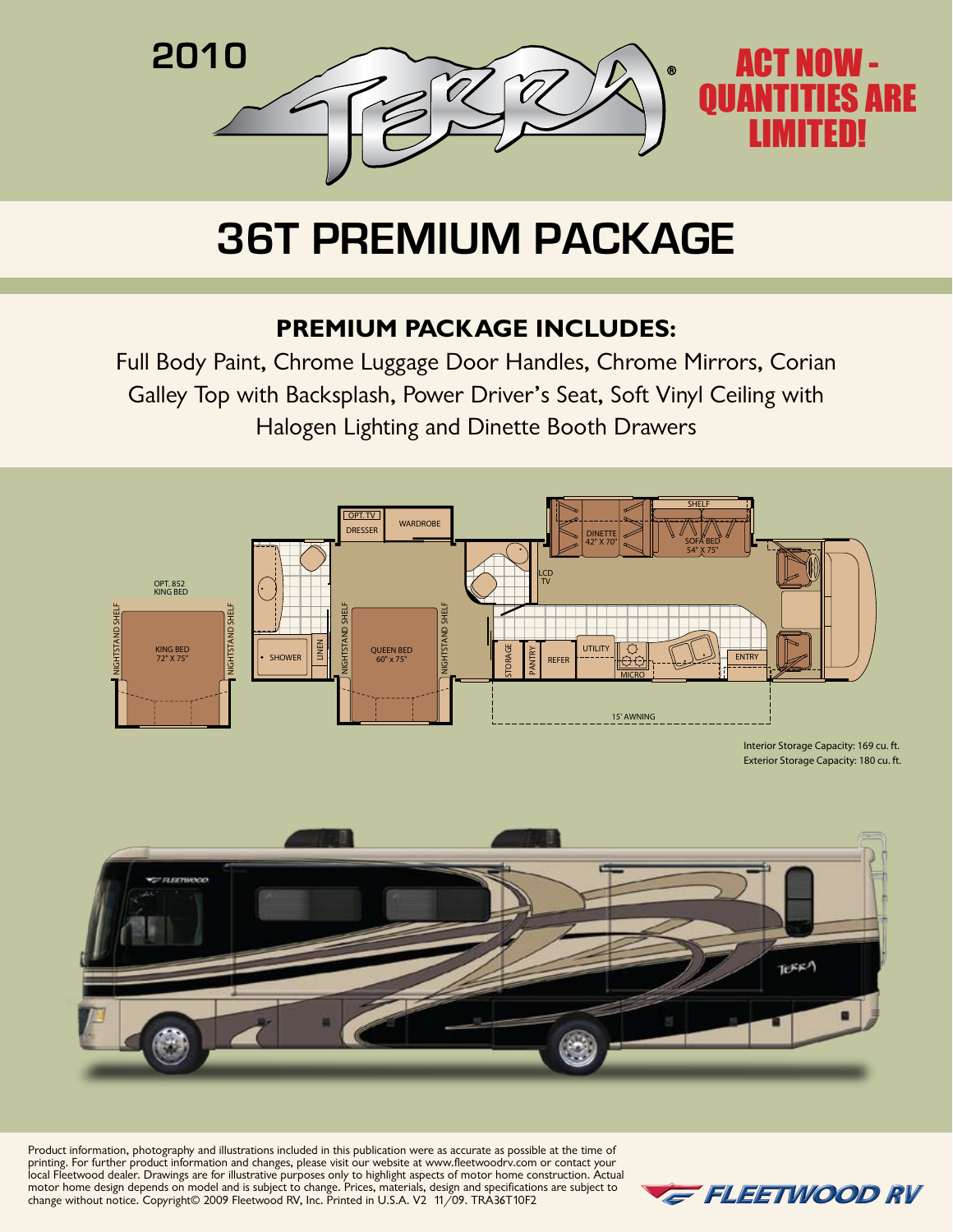

## **36T Premium Package**

## **Premium Package Includes:**

Full Body Paint, Chrome Luggage Door Handles, Chrome Mirrors, Corian Galley Top with Backsplash, Power Driver's Seat, Soft Vinyl Ceiling with Halogen Lighting and Dinette Booth Drawers





Product information, photography and illustrations included in this publication were as accurate as possible at the time of printing. For further product information and changes, please visit our website at www.fleetwoodrv.com or contact your local Fleetwood dealer. Drawings are for illustrative purposes only to highlight aspects of motor home construction. Actual motor home design depends on model and is subject to change. Prices, materials, design and specifications are subject to change without notice. Copyright© 2009 Fleetwood RV, Inc. Printed in U.S.A. V2 11/09. TRA36T10F2